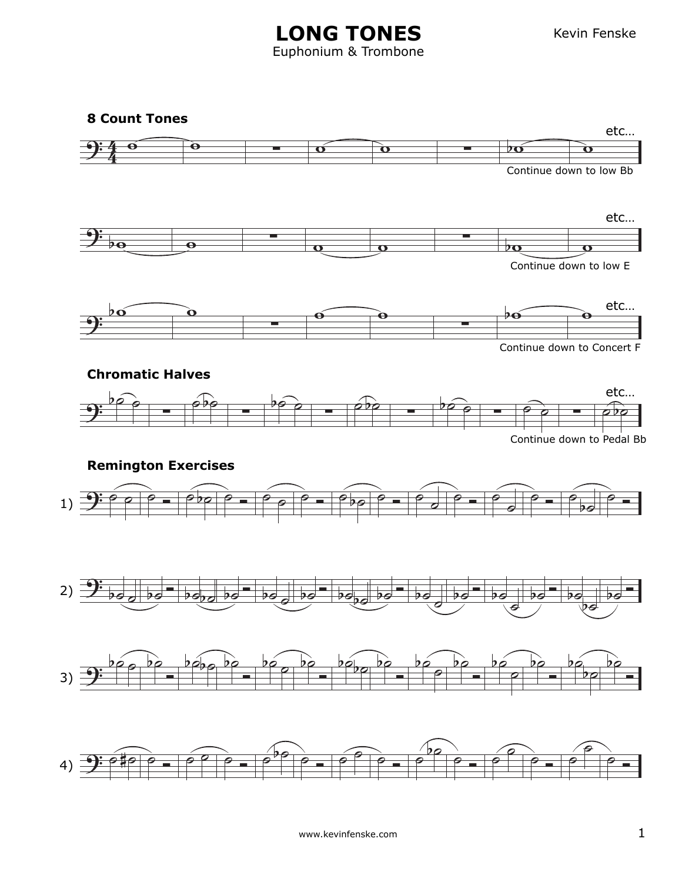Kevin Fenske

## **LONG TONES** Euphonium & Trombone

**8 Count Tones**

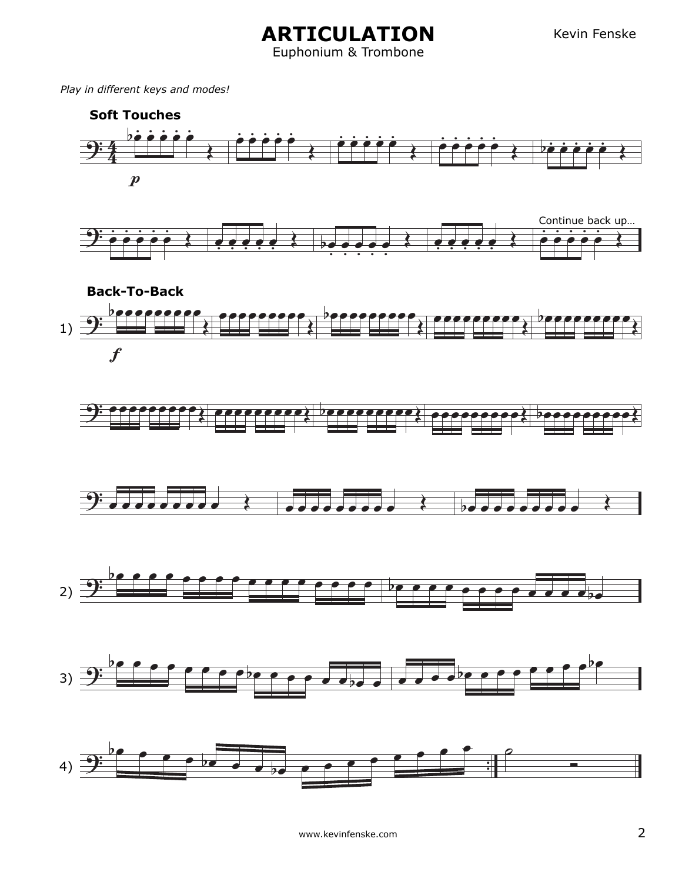**ARTICULATION** Euphonium & Trombone

*Play in different keys and modes!*

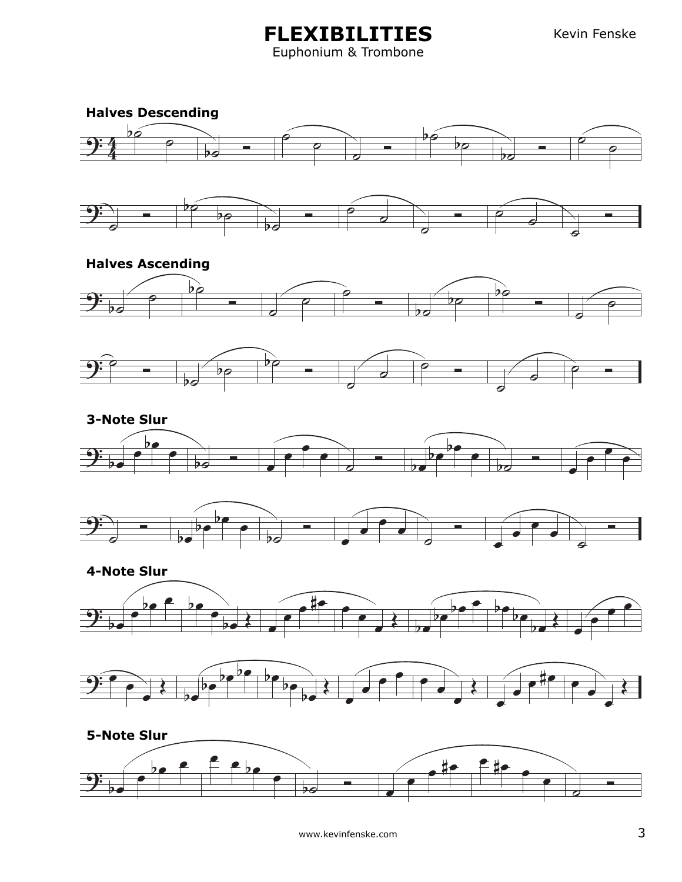**FLEXIBILITIES** Euphonium & Trombone





## **Halves Ascending**









**4-Note Slur**

![](_page_2_Figure_10.jpeg)

![](_page_2_Figure_11.jpeg)

![](_page_2_Figure_12.jpeg)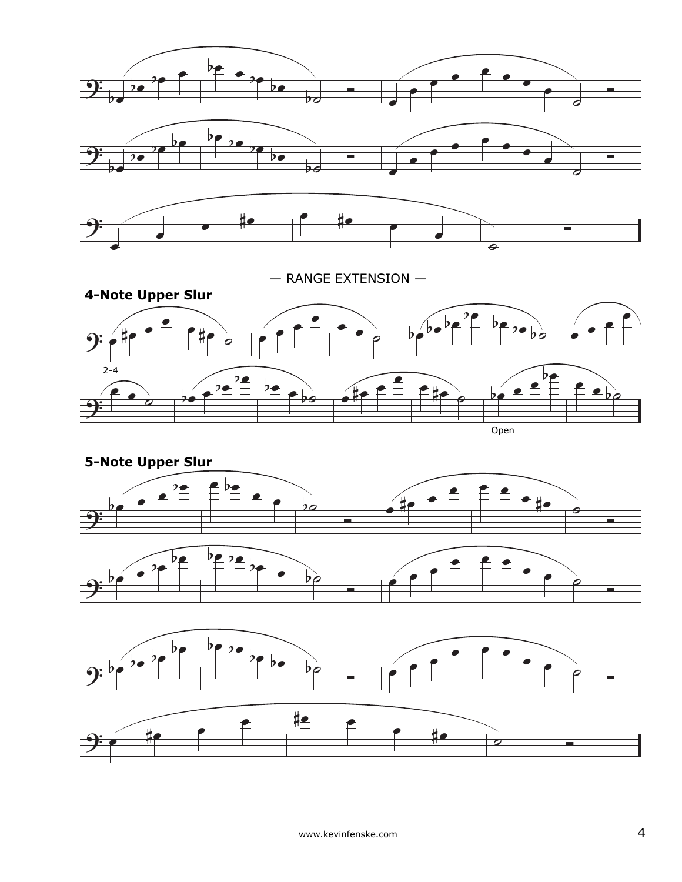![](_page_3_Figure_0.jpeg)

— RANGE EXTENSION —

![](_page_3_Figure_2.jpeg)

![](_page_3_Figure_3.jpeg)

![](_page_3_Figure_4.jpeg)

![](_page_3_Figure_5.jpeg)

![](_page_3_Figure_6.jpeg)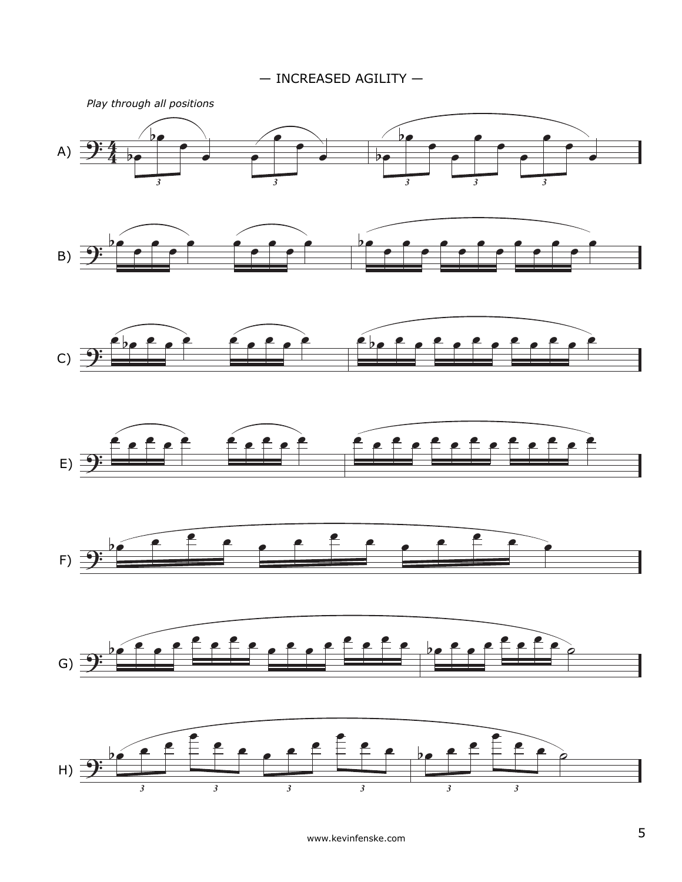— INCREASED AGILITY —

![](_page_4_Figure_1.jpeg)

www.kevinfenske.com